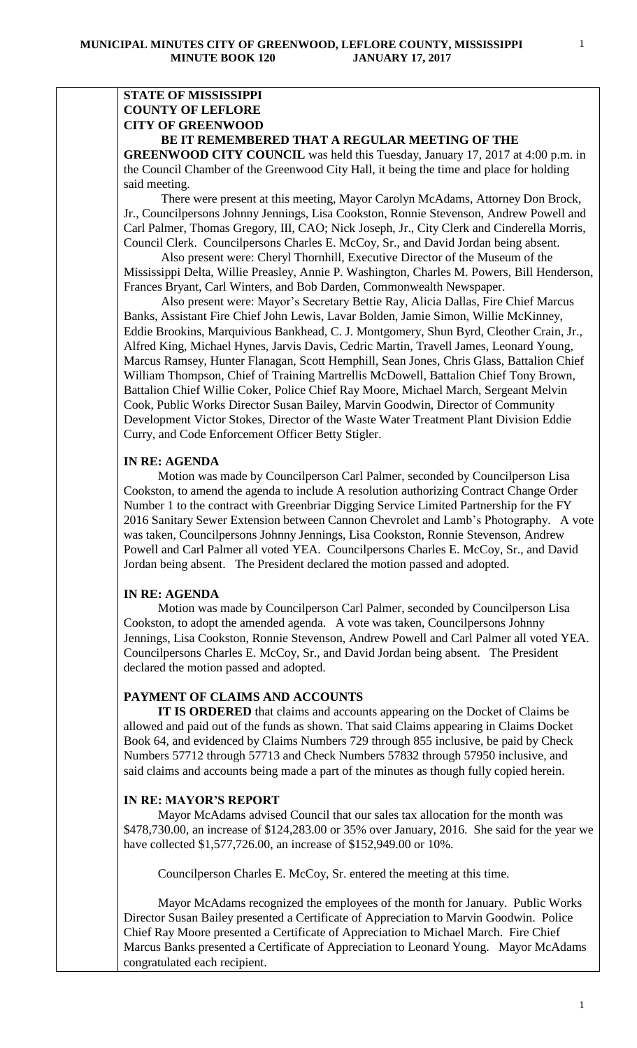# **STATE OF MISSISSIPPI COUNTY OF LEFLORE CITY OF GREENWOOD**

# **BE IT REMEMBERED THAT A REGULAR MEETING OF THE**

**GREENWOOD CITY COUNCIL** was held this Tuesday, January 17, 2017 at 4:00 p.m. in the Council Chamber of the Greenwood City Hall, it being the time and place for holding said meeting.

There were present at this meeting, Mayor Carolyn McAdams, Attorney Don Brock, Jr., Councilpersons Johnny Jennings, Lisa Cookston, Ronnie Stevenson, Andrew Powell and Carl Palmer, Thomas Gregory, III, CAO; Nick Joseph, Jr., City Clerk and Cinderella Morris, Council Clerk. Councilpersons Charles E. McCoy, Sr., and David Jordan being absent.

 Also present were: Cheryl Thornhill, Executive Director of the Museum of the Mississippi Delta, Willie Preasley, Annie P. Washington, Charles M. Powers, Bill Henderson, Frances Bryant, Carl Winters, and Bob Darden, Commonwealth Newspaper.

 Also present were: Mayor's Secretary Bettie Ray, Alicia Dallas, Fire Chief Marcus Banks, Assistant Fire Chief John Lewis, Lavar Bolden, Jamie Simon, Willie McKinney, Eddie Brookins, Marquivious Bankhead, C. J. Montgomery, Shun Byrd, Cleother Crain, Jr., Alfred King, Michael Hynes, Jarvis Davis, Cedric Martin, Travell James, Leonard Young, Marcus Ramsey, Hunter Flanagan, Scott Hemphill, Sean Jones, Chris Glass, Battalion Chief William Thompson, Chief of Training Martrellis McDowell, Battalion Chief Tony Brown, Battalion Chief Willie Coker, Police Chief Ray Moore, Michael March, Sergeant Melvin Cook, Public Works Director Susan Bailey, Marvin Goodwin, Director of Community Development Victor Stokes, Director of the Waste Water Treatment Plant Division Eddie Curry, and Code Enforcement Officer Betty Stigler.

#### **IN RE: AGENDA**

 Motion was made by Councilperson Carl Palmer, seconded by Councilperson Lisa Cookston, to amend the agenda to include A resolution authorizing Contract Change Order Number 1 to the contract with Greenbriar Digging Service Limited Partnership for the FY 2016 Sanitary Sewer Extension between Cannon Chevrolet and Lamb's Photography. A vote was taken, Councilpersons Johnny Jennings, Lisa Cookston, Ronnie Stevenson, Andrew Powell and Carl Palmer all voted YEA. Councilpersons Charles E. McCoy, Sr., and David Jordan being absent. The President declared the motion passed and adopted.

# **IN RE: AGENDA**

 Motion was made by Councilperson Carl Palmer, seconded by Councilperson Lisa Cookston, to adopt the amended agenda. A vote was taken, Councilpersons Johnny Jennings, Lisa Cookston, Ronnie Stevenson, Andrew Powell and Carl Palmer all voted YEA. Councilpersons Charles E. McCoy, Sr., and David Jordan being absent. The President declared the motion passed and adopted.

# **PAYMENT OF CLAIMS AND ACCOUNTS**

 **IT IS ORDERED** that claims and accounts appearing on the Docket of Claims be allowed and paid out of the funds as shown. That said Claims appearing in Claims Docket Book 64, and evidenced by Claims Numbers 729 through 855 inclusive, be paid by Check Numbers 57712 through 57713 and Check Numbers 57832 through 57950 inclusive, and said claims and accounts being made a part of the minutes as though fully copied herein.

# **IN RE: MAYOR'S REPORT**

 Mayor McAdams advised Council that our sales tax allocation for the month was \$478,730.00, an increase of \$124,283.00 or 35% over January, 2016. She said for the year we have collected \$1,577,726.00, an increase of \$152,949.00 or 10%.

Councilperson Charles E. McCoy, Sr. entered the meeting at this time.

 Mayor McAdams recognized the employees of the month for January. Public Works Director Susan Bailey presented a Certificate of Appreciation to Marvin Goodwin. Police Chief Ray Moore presented a Certificate of Appreciation to Michael March. Fire Chief Marcus Banks presented a Certificate of Appreciation to Leonard Young. Mayor McAdams congratulated each recipient.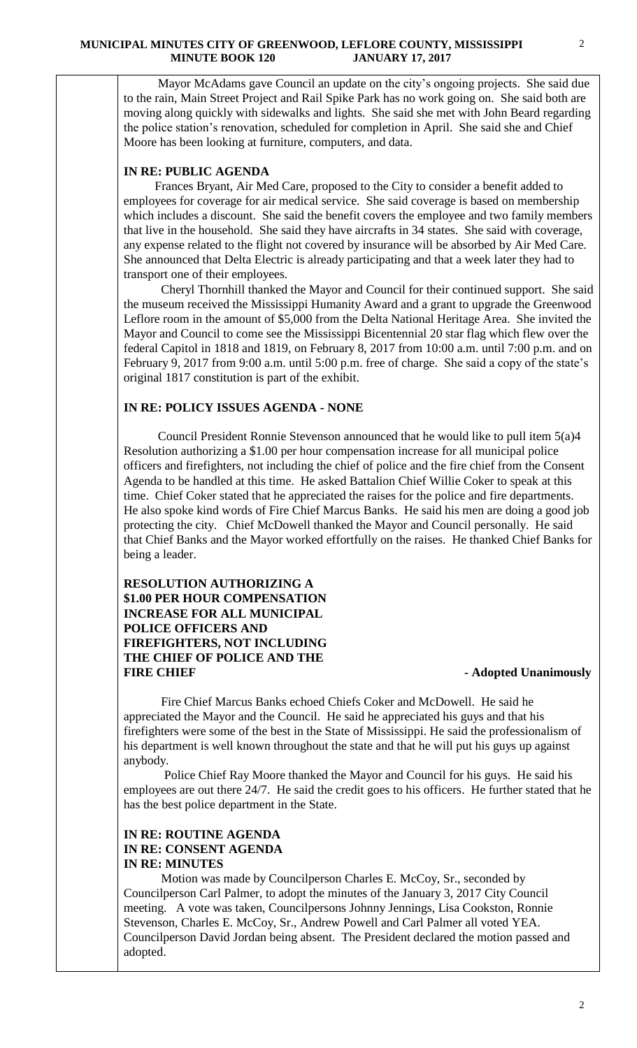Mayor McAdams gave Council an update on the city's ongoing projects. She said due to the rain, Main Street Project and Rail Spike Park has no work going on. She said both are moving along quickly with sidewalks and lights. She said she met with John Beard regarding the police station's renovation, scheduled for completion in April. She said she and Chief Moore has been looking at furniture, computers, and data.

### **IN RE: PUBLIC AGENDA**

 Frances Bryant, Air Med Care, proposed to the City to consider a benefit added to employees for coverage for air medical service. She said coverage is based on membership which includes a discount. She said the benefit covers the employee and two family members that live in the household. She said they have aircrafts in 34 states. She said with coverage, any expense related to the flight not covered by insurance will be absorbed by Air Med Care. She announced that Delta Electric is already participating and that a week later they had to transport one of their employees.

 Cheryl Thornhill thanked the Mayor and Council for their continued support. She said the museum received the Mississippi Humanity Award and a grant to upgrade the Greenwood Leflore room in the amount of \$5,000 from the Delta National Heritage Area. She invited the Mayor and Council to come see the Mississippi Bicentennial 20 star flag which flew over the federal Capitol in 1818 and 1819, on February 8, 2017 from 10:00 a.m. until 7:00 p.m. and on February 9, 2017 from 9:00 a.m. until 5:00 p.m. free of charge. She said a copy of the state's original 1817 constitution is part of the exhibit.

# **IN RE: POLICY ISSUES AGENDA - NONE**

 Council President Ronnie Stevenson announced that he would like to pull item 5(a)4 Resolution authorizing a \$1.00 per hour compensation increase for all municipal police officers and firefighters, not including the chief of police and the fire chief from the Consent Agenda to be handled at this time. He asked Battalion Chief Willie Coker to speak at this time. Chief Coker stated that he appreciated the raises for the police and fire departments. He also spoke kind words of Fire Chief Marcus Banks. He said his men are doing a good job protecting the city. Chief McDowell thanked the Mayor and Council personally. He said that Chief Banks and the Mayor worked effortfully on the raises. He thanked Chief Banks for being a leader.

# **RESOLUTION AUTHORIZING A \$1.00 PER HOUR COMPENSATION INCREASE FOR ALL MUNICIPAL POLICE OFFICERS AND FIREFIGHTERS, NOT INCLUDING THE CHIEF OF POLICE AND THE FIRE CHIEF - Adopted Unanimously**

 Fire Chief Marcus Banks echoed Chiefs Coker and McDowell. He said he appreciated the Mayor and the Council. He said he appreciated his guys and that his firefighters were some of the best in the State of Mississippi. He said the professionalism of his department is well known throughout the state and that he will put his guys up against anybody.

 Police Chief Ray Moore thanked the Mayor and Council for his guys. He said his employees are out there 24/7. He said the credit goes to his officers. He further stated that he has the best police department in the State.

# **IN RE: ROUTINE AGENDA IN RE: CONSENT AGENDA IN RE: MINUTES**

 Motion was made by Councilperson Charles E. McCoy, Sr., seconded by Councilperson Carl Palmer, to adopt the minutes of the January 3, 2017 City Council meeting. A vote was taken, Councilpersons Johnny Jennings, Lisa Cookston, Ronnie Stevenson, Charles E. McCoy, Sr., Andrew Powell and Carl Palmer all voted YEA. Councilperson David Jordan being absent. The President declared the motion passed and adopted.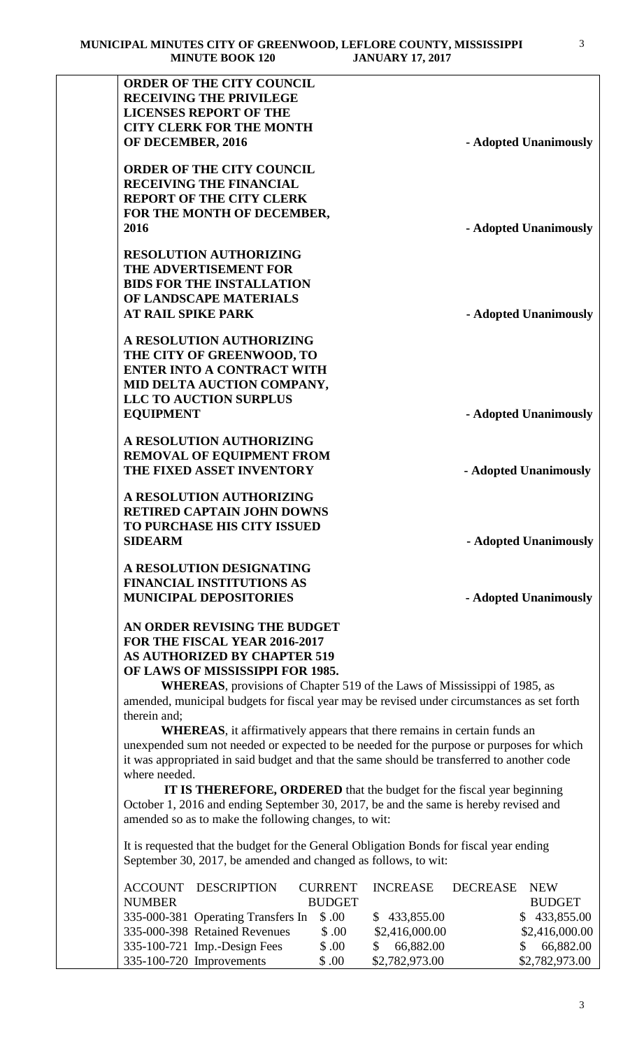| <b>ORDER OF THE CITY COUNCIL</b>                                                                                                                          |                                                |
|-----------------------------------------------------------------------------------------------------------------------------------------------------------|------------------------------------------------|
| <b>RECEIVING THE PRIVILEGE</b>                                                                                                                            |                                                |
| <b>LICENSES REPORT OF THE</b>                                                                                                                             |                                                |
| <b>CITY CLERK FOR THE MONTH</b>                                                                                                                           |                                                |
| OF DECEMBER, 2016                                                                                                                                         | - Adopted Unanimously                          |
| <b>ORDER OF THE CITY COUNCIL</b>                                                                                                                          |                                                |
| <b>RECEIVING THE FINANCIAL</b>                                                                                                                            |                                                |
| <b>REPORT OF THE CITY CLERK</b>                                                                                                                           |                                                |
| FOR THE MONTH OF DECEMBER,                                                                                                                                |                                                |
| 2016                                                                                                                                                      | - Adopted Unanimously                          |
| <b>RESOLUTION AUTHORIZING</b>                                                                                                                             |                                                |
| THE ADVERTISEMENT FOR                                                                                                                                     |                                                |
| <b>BIDS FOR THE INSTALLATION</b>                                                                                                                          |                                                |
| OF LANDSCAPE MATERIALS                                                                                                                                    |                                                |
| <b>AT RAIL SPIKE PARK</b>                                                                                                                                 | - Adopted Unanimously                          |
|                                                                                                                                                           |                                                |
| A RESOLUTION AUTHORIZING                                                                                                                                  |                                                |
| THE CITY OF GREENWOOD, TO                                                                                                                                 |                                                |
| <b>ENTER INTO A CONTRACT WITH</b>                                                                                                                         |                                                |
| MID DELTA AUCTION COMPANY,                                                                                                                                |                                                |
| <b>LLC TO AUCTION SURPLUS</b>                                                                                                                             |                                                |
| <b>EQUIPMENT</b>                                                                                                                                          | - Adopted Unanimously                          |
| A RESOLUTION AUTHORIZING                                                                                                                                  |                                                |
| <b>REMOVAL OF EQUIPMENT FROM</b>                                                                                                                          |                                                |
| THE FIXED ASSET INVENTORY                                                                                                                                 | - Adopted Unanimously                          |
| A RESOLUTION AUTHORIZING                                                                                                                                  |                                                |
| <b>RETIRED CAPTAIN JOHN DOWNS</b>                                                                                                                         |                                                |
| <b>TO PURCHASE HIS CITY ISSUED</b>                                                                                                                        |                                                |
| <b>SIDEARM</b>                                                                                                                                            | - Adopted Unanimously                          |
| A RESOLUTION DESIGNATING                                                                                                                                  |                                                |
| <b>FINANCIAL INSTITUTIONS AS</b>                                                                                                                          |                                                |
| <b>MUNICIPAL DEPOSITORIES</b>                                                                                                                             | - Adopted Unanimously                          |
|                                                                                                                                                           |                                                |
| AN ORDER REVISING THE BUDGET                                                                                                                              |                                                |
| FOR THE FISCAL YEAR 2016-2017                                                                                                                             |                                                |
| <b>AS AUTHORIZED BY CHAPTER 519</b>                                                                                                                       |                                                |
| OF LAWS OF MISSISSIPPI FOR 1985.                                                                                                                          |                                                |
| <b>WHEREAS</b> , provisions of Chapter 519 of the Laws of Mississippi of 1985, as                                                                         |                                                |
| amended, municipal budgets for fiscal year may be revised under circumstances as set forth                                                                |                                                |
|                                                                                                                                                           |                                                |
| therein and;                                                                                                                                              |                                                |
| <b>WHEREAS</b> , it affirmatively appears that there remains in certain funds an                                                                          |                                                |
| unexpended sum not needed or expected to be needed for the purpose or purposes for which                                                                  |                                                |
| it was appropriated in said budget and that the same should be transferred to another code                                                                |                                                |
| where needed.                                                                                                                                             |                                                |
| <b>IT IS THEREFORE, ORDERED</b> that the budget for the fiscal year beginning                                                                             |                                                |
| October 1, 2016 and ending September 30, 2017, be and the same is hereby revised and                                                                      |                                                |
| amended so as to make the following changes, to wit:                                                                                                      |                                                |
|                                                                                                                                                           |                                                |
| It is requested that the budget for the General Obligation Bonds for fiscal year ending<br>September 30, 2017, be amended and changed as follows, to wit: |                                                |
|                                                                                                                                                           |                                                |
| <b>ACCOUNT</b><br><b>DESCRIPTION</b><br><b>CURRENT</b><br><b>INCREASE</b><br><b>NUMBER</b><br><b>BUDGET</b>                                               | <b>DECREASE</b><br><b>NEW</b><br><b>BUDGET</b> |

335-000-398 Retained Revenues \$ .00 \$2,416,000.00 \$2,416,000.00 335-100-721 Imp.-Design Fees \$ .00 \$ 66,882.00 \$ 66,882.00 335-100-720 Improvements \$ .00 \$2,782,973.00 \$2,782,973.00

3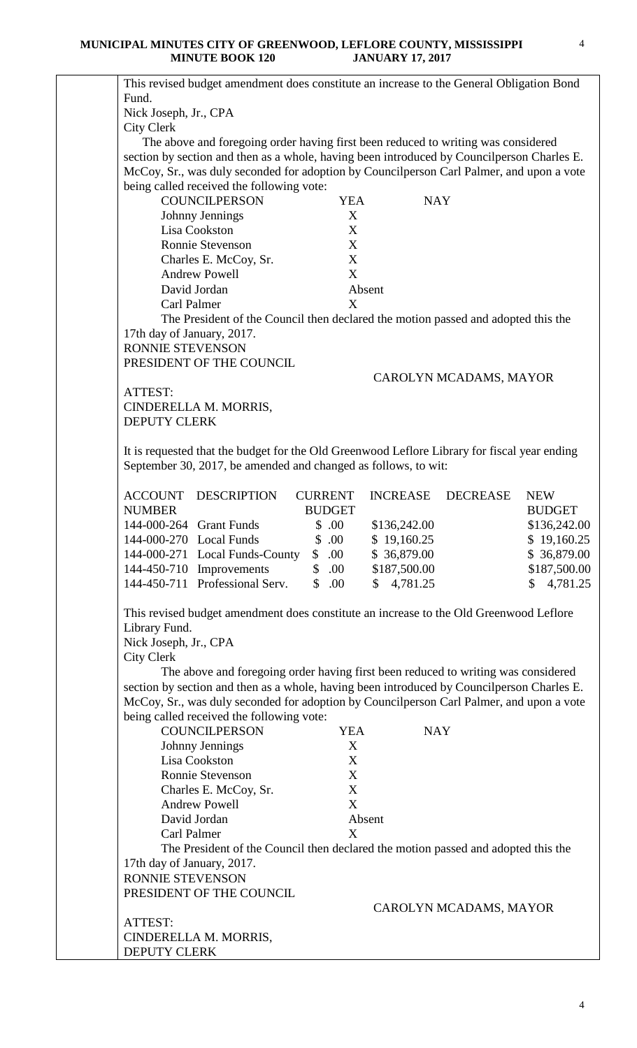| This revised budget amendment does constitute an increase to the General Obligation Bond     |                     |                 |                        |               |
|----------------------------------------------------------------------------------------------|---------------------|-----------------|------------------------|---------------|
| Fund.                                                                                        |                     |                 |                        |               |
| Nick Joseph, Jr., CPA                                                                        |                     |                 |                        |               |
| <b>City Clerk</b>                                                                            |                     |                 |                        |               |
| The above and foregoing order having first been reduced to writing was considered            |                     |                 |                        |               |
| section by section and then as a whole, having been introduced by Councilperson Charles E.   |                     |                 |                        |               |
| McCoy, Sr., was duly seconded for adoption by Councilperson Carl Palmer, and upon a vote     |                     |                 |                        |               |
| being called received the following vote:                                                    |                     |                 |                        |               |
| <b>COUNCILPERSON</b>                                                                         | <b>YEA</b>          | <b>NAY</b>      |                        |               |
| Johnny Jennings                                                                              | X                   |                 |                        |               |
| Lisa Cookston                                                                                | X                   |                 |                        |               |
| Ronnie Stevenson                                                                             | X                   |                 |                        |               |
| Charles E. McCoy, Sr.                                                                        | X                   |                 |                        |               |
| <b>Andrew Powell</b>                                                                         | X                   |                 |                        |               |
| David Jordan                                                                                 |                     | Absent          |                        |               |
| Carl Palmer                                                                                  | X                   |                 |                        |               |
|                                                                                              |                     |                 |                        |               |
| The President of the Council then declared the motion passed and adopted this the            |                     |                 |                        |               |
| 17th day of January, 2017.                                                                   |                     |                 |                        |               |
| <b>RONNIE STEVENSON</b>                                                                      |                     |                 |                        |               |
| PRESIDENT OF THE COUNCIL                                                                     |                     |                 |                        |               |
|                                                                                              |                     |                 | CAROLYN MCADAMS, MAYOR |               |
| ATTEST:                                                                                      |                     |                 |                        |               |
| CINDERELLA M. MORRIS,                                                                        |                     |                 |                        |               |
| <b>DEPUTY CLERK</b>                                                                          |                     |                 |                        |               |
|                                                                                              |                     |                 |                        |               |
| It is requested that the budget for the Old Greenwood Leflore Library for fiscal year ending |                     |                 |                        |               |
| September 30, 2017, be amended and changed as follows, to wit:                               |                     |                 |                        |               |
|                                                                                              |                     |                 |                        |               |
| <b>ACCOUNT</b><br>DESCRIPTION                                                                | <b>CURRENT</b>      | <b>INCREASE</b> | <b>DECREASE</b>        | <b>NEW</b>    |
| <b>NUMBER</b>                                                                                | <b>BUDGET</b>       |                 |                        | <b>BUDGET</b> |
| 144-000-264 Grant Funds                                                                      | \$.00               | \$136,242.00    |                        | \$136,242.00  |
| 144-000-270 Local Funds                                                                      | \$.00               | \$19,160.25     |                        | \$19,160.25   |
| 144-000-271 Local Funds-County                                                               | \$.00               | \$36,879.00     |                        | \$36,879.00   |
| 144-450-710 Improvements                                                                     | \$.00               | \$187,500.00    |                        | \$187,500.00  |
| 144-450-711 Professional Serv.                                                               | $\mathbb{S}$<br>.00 | \$4,781.25      |                        | \$4,781.25    |
|                                                                                              |                     |                 |                        |               |
| This revised budget amendment does constitute an increase to the Old Greenwood Leflore       |                     |                 |                        |               |
| Library Fund.                                                                                |                     |                 |                        |               |
| Nick Joseph, Jr., CPA                                                                        |                     |                 |                        |               |
| <b>City Clerk</b>                                                                            |                     |                 |                        |               |
| The above and foregoing order having first been reduced to writing was considered            |                     |                 |                        |               |
| section by section and then as a whole, having been introduced by Councilperson Charles E.   |                     |                 |                        |               |
| McCoy, Sr., was duly seconded for adoption by Councilperson Carl Palmer, and upon a vote     |                     |                 |                        |               |
| being called received the following vote:                                                    |                     |                 |                        |               |
| <b>COUNCILPERSON</b>                                                                         | <b>YEA</b>          | <b>NAY</b>      |                        |               |
| Johnny Jennings                                                                              | X                   |                 |                        |               |
| Lisa Cookston                                                                                | X                   |                 |                        |               |
| Ronnie Stevenson                                                                             | X                   |                 |                        |               |
| Charles E. McCoy, Sr.                                                                        | X                   |                 |                        |               |
| <b>Andrew Powell</b>                                                                         | X                   |                 |                        |               |
| David Jordan                                                                                 |                     | Absent          |                        |               |
| Carl Palmer                                                                                  | X                   |                 |                        |               |
| The President of the Council then declared the motion passed and adopted this the            |                     |                 |                        |               |
| 17th day of January, 2017.                                                                   |                     |                 |                        |               |
| <b>RONNIE STEVENSON</b>                                                                      |                     |                 |                        |               |
| PRESIDENT OF THE COUNCIL                                                                     |                     |                 |                        |               |
|                                                                                              |                     |                 | CAROLYN MCADAMS, MAYOR |               |
| ATTEST:                                                                                      |                     |                 |                        |               |
| CINDERELLA M. MORRIS,                                                                        |                     |                 |                        |               |
| <b>DEPUTY CLERK</b>                                                                          |                     |                 |                        |               |
|                                                                                              |                     |                 |                        |               |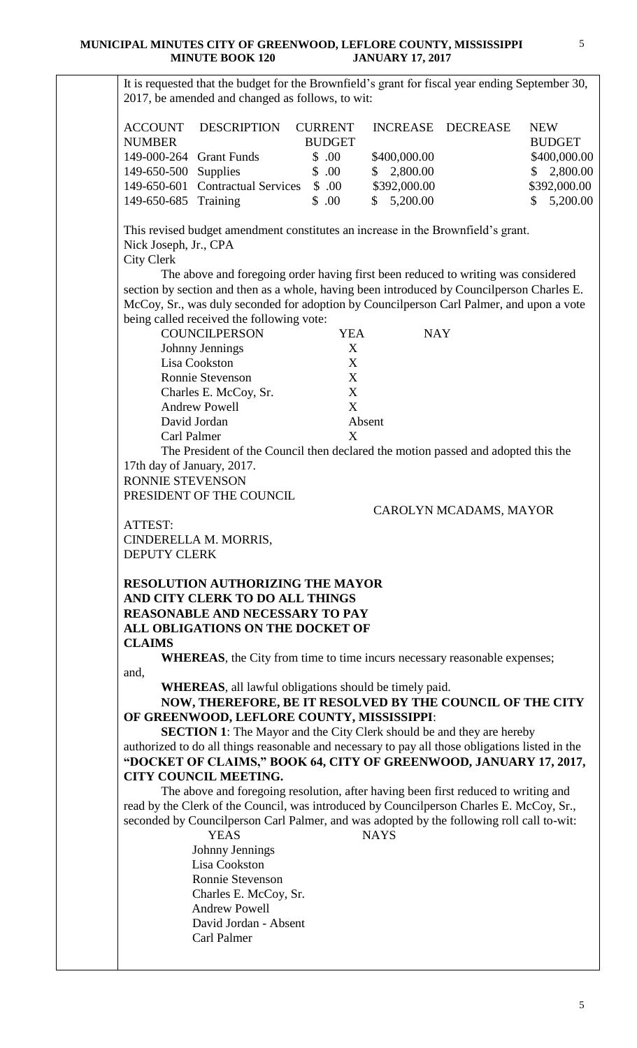It is requested that the budget for the Brownfield's grant for fiscal year ending September 30, 2017, be amended and changed as follows, to wit: ACCOUNT DESCRIPTION CURRENT INCREASE DECREASE NEW NUMBER BUDGET BUDGET 149-000-264 Grant Funds \$ .00 \$400,000.00 \$400,000.00 149-650-500 Supplies \$ .00 \$ 2,800.00 \$ 2,800.00 149-650-601 Contractual Services \$.00 \$392,000.00 \$392,000.00 149-650-685 Training \$ .00 \$ 5,200.00 \$ 5,200.00 This revised budget amendment constitutes an increase in the Brownfield's grant. Nick Joseph, Jr., CPA City Clerk The above and foregoing order having first been reduced to writing was considered section by section and then as a whole, having been introduced by Councilperson Charles E. McCoy, Sr., was duly seconded for adoption by Councilperson Carl Palmer, and upon a vote being called received the following vote: COUNCILPERSON YEA NAY Johnny Jennings X Lisa Cookston X Ronnie Stevenson X Charles E. McCoy, Sr. X Andrew Powell X David Jordan Absent Carl Palmer X The President of the Council then declared the motion passed and adopted this the 17th day of January, 2017. RONNIE STEVENSON PRESIDENT OF THE COUNCIL CAROLYN MCADAMS, MAYOR ATTEST: CINDERELLA M. MORRIS, DEPUTY CLERK **RESOLUTION AUTHORIZING THE MAYOR AND CITY CLERK TO DO ALL THINGS REASONABLE AND NECESSARY TO PAY ALL OBLIGATIONS ON THE DOCKET OF CLAIMS WHEREAS**, the City from time to time incurs necessary reasonable expenses; and, **WHEREAS**, all lawful obligations should be timely paid. **NOW, THEREFORE, BE IT RESOLVED BY THE COUNCIL OF THE CITY OF GREENWOOD, LEFLORE COUNTY, MISSISSIPPI**: **SECTION 1**: The Mayor and the City Clerk should be and they are hereby authorized to do all things reasonable and necessary to pay all those obligations listed in the **"DOCKET OF CLAIMS," BOOK 64, CITY OF GREENWOOD, JANUARY 17, 2017, CITY COUNCIL MEETING.** The above and foregoing resolution, after having been first reduced to writing and read by the Clerk of the Council, was introduced by Councilperson Charles E. McCoy, Sr., seconded by Councilperson Carl Palmer, and was adopted by the following roll call to-wit: YEAS NAYS Johnny Jennings Lisa Cookston Ronnie Stevenson Charles E. McCoy, Sr. Andrew Powell David Jordan - Absent Carl Palmer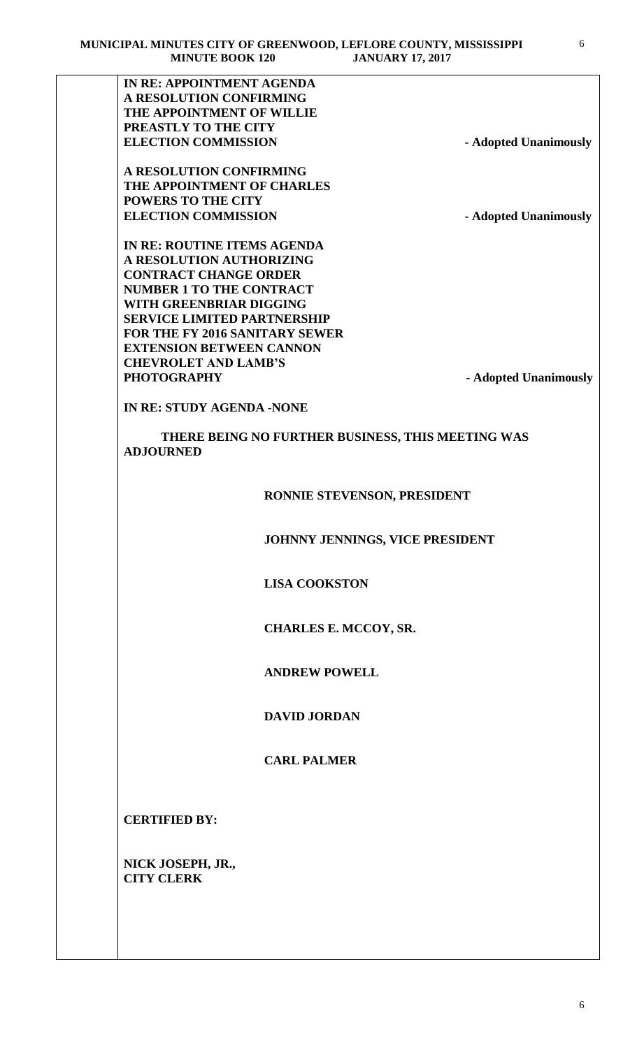| IN RE: APPOINTMENT AGENDA<br>A RESOLUTION CONFIRMING<br>THE APPOINTMENT OF WILLIE<br>PREASTLY TO THE CITY<br><b>ELECTION COMMISSION</b><br>A RESOLUTION CONFIRMING<br>THE APPOINTMENT OF CHARLES<br><b>POWERS TO THE CITY</b><br><b>ELECTION COMMISSION</b><br>IN RE: ROUTINE ITEMS AGENDA<br>A RESOLUTION AUTHORIZING<br><b>CONTRACT CHANGE ORDER</b><br><b>NUMBER 1 TO THE CONTRACT</b><br>WITH GREENBRIAR DIGGING<br><b>SERVICE LIMITED PARTNERSHIP</b><br><b>FOR THE FY 2016 SANITARY SEWER</b><br><b>EXTENSION BETWEEN CANNON</b><br><b>CHEVROLET AND LAMB'S</b><br><b>PHOTOGRAPHY</b><br><b>IN RE: STUDY AGENDA -NONE</b><br>THERE BEING NO FURTHER BUSINESS, THIS MEETING WAS<br><b>ADJOURNED</b> | - Adopted Unanimously<br>- Adopted Unanimously<br>- Adopted Unanimously |
|----------------------------------------------------------------------------------------------------------------------------------------------------------------------------------------------------------------------------------------------------------------------------------------------------------------------------------------------------------------------------------------------------------------------------------------------------------------------------------------------------------------------------------------------------------------------------------------------------------------------------------------------------------------------------------------------------------|-------------------------------------------------------------------------|
|                                                                                                                                                                                                                                                                                                                                                                                                                                                                                                                                                                                                                                                                                                          |                                                                         |
|                                                                                                                                                                                                                                                                                                                                                                                                                                                                                                                                                                                                                                                                                                          |                                                                         |
|                                                                                                                                                                                                                                                                                                                                                                                                                                                                                                                                                                                                                                                                                                          |                                                                         |
|                                                                                                                                                                                                                                                                                                                                                                                                                                                                                                                                                                                                                                                                                                          |                                                                         |
|                                                                                                                                                                                                                                                                                                                                                                                                                                                                                                                                                                                                                                                                                                          |                                                                         |
|                                                                                                                                                                                                                                                                                                                                                                                                                                                                                                                                                                                                                                                                                                          |                                                                         |
|                                                                                                                                                                                                                                                                                                                                                                                                                                                                                                                                                                                                                                                                                                          |                                                                         |
|                                                                                                                                                                                                                                                                                                                                                                                                                                                                                                                                                                                                                                                                                                          |                                                                         |
|                                                                                                                                                                                                                                                                                                                                                                                                                                                                                                                                                                                                                                                                                                          |                                                                         |
|                                                                                                                                                                                                                                                                                                                                                                                                                                                                                                                                                                                                                                                                                                          |                                                                         |
|                                                                                                                                                                                                                                                                                                                                                                                                                                                                                                                                                                                                                                                                                                          |                                                                         |
|                                                                                                                                                                                                                                                                                                                                                                                                                                                                                                                                                                                                                                                                                                          |                                                                         |
|                                                                                                                                                                                                                                                                                                                                                                                                                                                                                                                                                                                                                                                                                                          |                                                                         |
|                                                                                                                                                                                                                                                                                                                                                                                                                                                                                                                                                                                                                                                                                                          |                                                                         |
|                                                                                                                                                                                                                                                                                                                                                                                                                                                                                                                                                                                                                                                                                                          |                                                                         |
|                                                                                                                                                                                                                                                                                                                                                                                                                                                                                                                                                                                                                                                                                                          |                                                                         |
|                                                                                                                                                                                                                                                                                                                                                                                                                                                                                                                                                                                                                                                                                                          |                                                                         |
|                                                                                                                                                                                                                                                                                                                                                                                                                                                                                                                                                                                                                                                                                                          |                                                                         |
|                                                                                                                                                                                                                                                                                                                                                                                                                                                                                                                                                                                                                                                                                                          |                                                                         |
|                                                                                                                                                                                                                                                                                                                                                                                                                                                                                                                                                                                                                                                                                                          |                                                                         |
|                                                                                                                                                                                                                                                                                                                                                                                                                                                                                                                                                                                                                                                                                                          |                                                                         |
|                                                                                                                                                                                                                                                                                                                                                                                                                                                                                                                                                                                                                                                                                                          |                                                                         |
|                                                                                                                                                                                                                                                                                                                                                                                                                                                                                                                                                                                                                                                                                                          |                                                                         |
| RONNIE STEVENSON, PRESIDENT                                                                                                                                                                                                                                                                                                                                                                                                                                                                                                                                                                                                                                                                              |                                                                         |
| JOHNNY JENNINGS, VICE PRESIDENT                                                                                                                                                                                                                                                                                                                                                                                                                                                                                                                                                                                                                                                                          |                                                                         |
| <b>LISA COOKSTON</b>                                                                                                                                                                                                                                                                                                                                                                                                                                                                                                                                                                                                                                                                                     |                                                                         |
| <b>CHARLES E. MCCOY, SR.</b>                                                                                                                                                                                                                                                                                                                                                                                                                                                                                                                                                                                                                                                                             |                                                                         |
| <b>ANDREW POWELL</b>                                                                                                                                                                                                                                                                                                                                                                                                                                                                                                                                                                                                                                                                                     |                                                                         |
| <b>DAVID JORDAN</b>                                                                                                                                                                                                                                                                                                                                                                                                                                                                                                                                                                                                                                                                                      |                                                                         |
| <b>CARL PALMER</b>                                                                                                                                                                                                                                                                                                                                                                                                                                                                                                                                                                                                                                                                                       |                                                                         |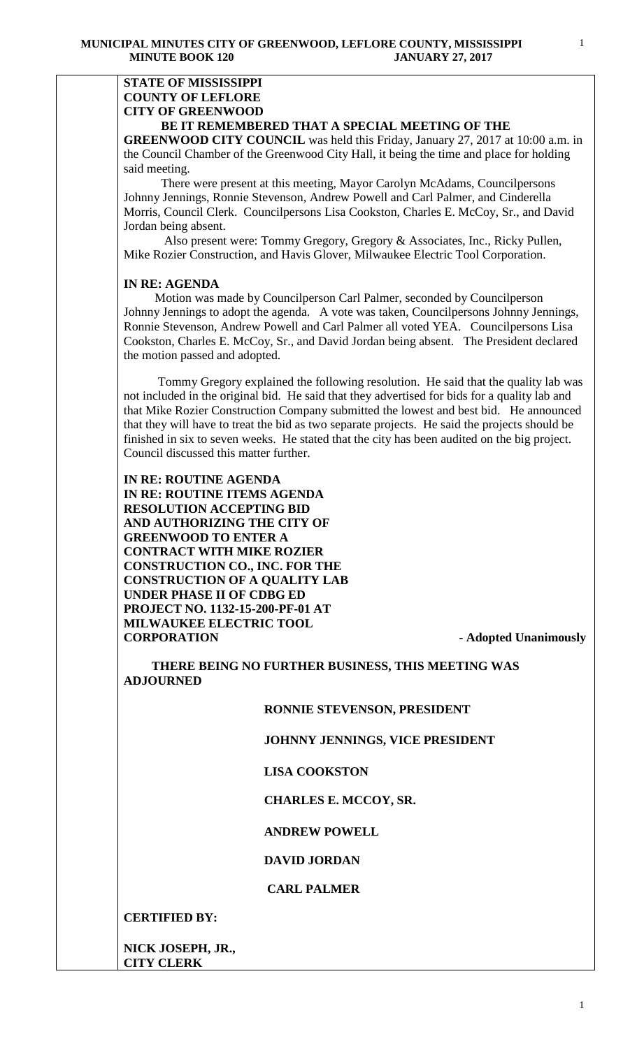### **STATE OF MISSISSIPPI COUNTY OF LEFLORE CITY OF GREENWOOD BE IT REMEMBERED THAT A SPECIAL MEETING OF THE**

**GREENWOOD CITY COUNCIL** was held this Friday, January 27, 2017 at 10:00 a.m. in the Council Chamber of the Greenwood City Hall, it being the time and place for holding said meeting.

There were present at this meeting, Mayor Carolyn McAdams, Councilpersons Johnny Jennings, Ronnie Stevenson, Andrew Powell and Carl Palmer, and Cinderella Morris, Council Clerk. Councilpersons Lisa Cookston, Charles E. McCoy, Sr., and David Jordan being absent.

 Also present were: Tommy Gregory, Gregory & Associates, Inc., Ricky Pullen, Mike Rozier Construction, and Havis Glover, Milwaukee Electric Tool Corporation.

# **IN RE: AGENDA**

 Motion was made by Councilperson Carl Palmer, seconded by Councilperson Johnny Jennings to adopt the agenda. A vote was taken, Councilpersons Johnny Jennings, Ronnie Stevenson, Andrew Powell and Carl Palmer all voted YEA. Councilpersons Lisa Cookston, Charles E. McCoy, Sr., and David Jordan being absent. The President declared the motion passed and adopted.

 Tommy Gregory explained the following resolution. He said that the quality lab was not included in the original bid. He said that they advertised for bids for a quality lab and that Mike Rozier Construction Company submitted the lowest and best bid. He announced that they will have to treat the bid as two separate projects. He said the projects should be finished in six to seven weeks. He stated that the city has been audited on the big project. Council discussed this matter further.

**IN RE: ROUTINE AGENDA IN RE: ROUTINE ITEMS AGENDA RESOLUTION ACCEPTING BID AND AUTHORIZING THE CITY OF GREENWOOD TO ENTER A CONTRACT WITH MIKE ROZIER CONSTRUCTION CO., INC. FOR THE CONSTRUCTION OF A QUALITY LAB UNDER PHASE II OF CDBG ED PROJECT NO. 1132-15-200-PF-01 AT MILWAUKEE ELECTRIC TOOL CORPORATION - Adopted Unanimously**

 **THERE BEING NO FURTHER BUSINESS, THIS MEETING WAS ADJOURNED**

### **RONNIE STEVENSON, PRESIDENT**

#### **JOHNNY JENNINGS, VICE PRESIDENT**

#### **LISA COOKSTON**

#### **CHARLES E. MCCOY, SR.**

# **ANDREW POWELL**

# **DAVID JORDAN**

#### **CARL PALMER**

#### **CERTIFIED BY:**

**NICK JOSEPH, JR., CITY CLERK**